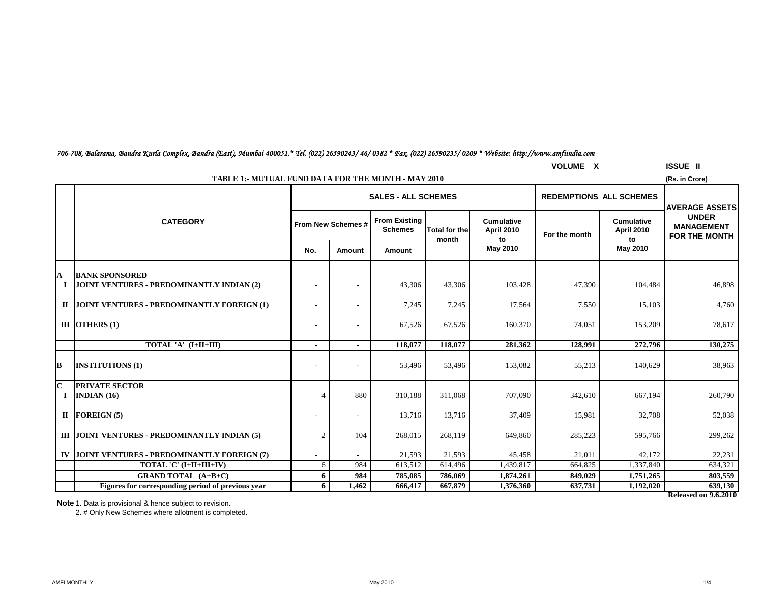|  |  |  | 706-708, Balarama, Bandra Kurla Complex, Bandra (East), Mumbai 400051.* Tel. (022) 26590243/ 46/ 0382 * Fax, (022) 26590235/ 0209 * Website: http://www.amfiindia.com |  |  |  |  |
|--|--|--|-----------------------------------------------------------------------------------------------------------------------------------------------------------------------|--|--|--|--|
|--|--|--|-----------------------------------------------------------------------------------------------------------------------------------------------------------------------|--|--|--|--|

|                          | <b>VOLUME X</b><br><b>ISSUE II</b>                                           |                           |                          |                                        |                      |                                        |                                |                          |                                                           |  |  |  |  |
|--------------------------|------------------------------------------------------------------------------|---------------------------|--------------------------|----------------------------------------|----------------------|----------------------------------------|--------------------------------|--------------------------|-----------------------------------------------------------|--|--|--|--|
|                          | <b>TABLE 1:- MUTUAL FUND DATA FOR THE MONTH - MAY 2010</b><br>(Rs. in Crore) |                           |                          |                                        |                      |                                        |                                |                          |                                                           |  |  |  |  |
|                          |                                                                              |                           |                          | <b>SALES - ALL SCHEMES</b>             |                      |                                        | <b>REDEMPTIONS ALL SCHEMES</b> |                          | <b>AVERAGE ASSETS</b>                                     |  |  |  |  |
|                          | <b>CATEGORY</b>                                                              | <b>From New Schemes #</b> |                          | <b>From Existing</b><br><b>Schemes</b> | <b>Total for the</b> | <b>Cumulative</b><br><b>April 2010</b> | For the month                  | Cumulative<br>April 2010 | <b>UNDER</b><br><b>MANAGEMENT</b><br><b>FOR THE MONTH</b> |  |  |  |  |
|                          |                                                                              | No.                       | Amount                   | <b>Amount</b>                          | month                | to<br>May 2010                         |                                | to<br>May 2010           |                                                           |  |  |  |  |
| A<br><b>I</b>            | <b>BANK SPONSORED</b><br>JOINT VENTURES - PREDOMINANTLY INDIAN (2)           |                           |                          | 43,306                                 | 43,306               | 103,428                                | 47,390                         | 104,484                  | 46,898                                                    |  |  |  |  |
| $\mathbf{I}$             | JOINT VENTURES - PREDOMINANTLY FOREIGN (1)                                   | ٠                         | ٠                        | 7,245                                  | 7,245                | 17,564                                 | 7,550                          | 15,103                   | 4,760                                                     |  |  |  |  |
|                          | III OTHERS $(1)$                                                             | ٠                         |                          | 67,526                                 | 67,526               | 160,370                                | 74,051                         | 153,209                  | 78,617                                                    |  |  |  |  |
|                          | TOTAL 'A' (I+II+III)                                                         | $\blacksquare$            | $\blacksquare$           | 118,077                                | 118,077              | 281,362                                | 128,991                        | 272,796                  | 130,275                                                   |  |  |  |  |
| B                        | <b>INSTITUTIONS (1)</b>                                                      | $\overline{a}$            | $\overline{a}$           | 53,496                                 | 53,496               | 153,082                                | 55,213                         | 140,629                  | 38,963                                                    |  |  |  |  |
| $\mathbf{C}$<br>$\bf{I}$ | <b>PRIVATE SECTOR</b><br><b>INDIAN</b> $(16)$                                | $\overline{4}$            | 880                      | 310.188                                | 311,068              | 707,090                                | 342,610                        | 667.194                  | 260,790                                                   |  |  |  |  |
|                          | II FOREIGN $(5)$                                                             | $\overline{\phantom{a}}$  | $\overline{\phantom{a}}$ | 13,716                                 | 13,716               | 37,409                                 | 15,981                         | 32,708                   | 52,038                                                    |  |  |  |  |
|                          | III JOINT VENTURES - PREDOMINANTLY INDIAN (5)                                | $\overline{2}$            | 104                      | 268,015                                | 268,119              | 649,860                                | 285,223                        | 595,766                  | 299,262                                                   |  |  |  |  |
| IV                       | JOINT VENTURES - PREDOMINANTLY FOREIGN (7)                                   | $\overline{\phantom{a}}$  | $\sim$                   | 21,593                                 | 21,593               | 45,458                                 | 21.011                         | 42,172                   | 22,231                                                    |  |  |  |  |
|                          | TOTAL 'C' (I+II+III+IV)                                                      | 6                         | 984                      | 613,512                                | 614,496              | 1,439,817                              | 664,825                        | 1,337,840                | 634,321                                                   |  |  |  |  |
|                          | <b>GRAND TOTAL (A+B+C)</b>                                                   | 6                         | 984                      | 785,085                                | 786,069              | 1,874,261                              | 849,029                        | 1,751,265                | 803,559                                                   |  |  |  |  |
|                          | Figures for corresponding period of previous year                            | 6                         | 1.462                    | 666,417                                | 667,879              | 1,376,360                              | 637,731                        | 1,192,020                | 639,130                                                   |  |  |  |  |

**Note** 1. Data is provisional & hence subject to revision.

2. # Only New Schemes where allotment is completed.

**Released on 9.6.2010**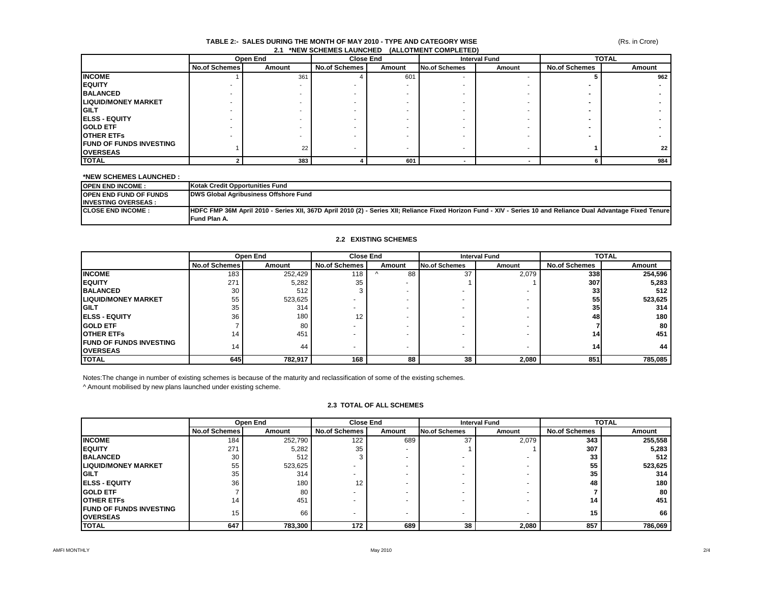#### (Rs. in Crore)

#### **TABLE 2:- SALES DURING THE MONTH OF MAY 2010 - TYPE AND CATEGORY WISE 2.1 \*NEW SCHEMES LAUNCHED (ALLOTMENT COMPLETED)**

|                                 |                      | Open End | <b>Close End</b>     |        |                      | <b>Interval Fund</b>     |                      | <b>TOTAL</b>    |
|---------------------------------|----------------------|----------|----------------------|--------|----------------------|--------------------------|----------------------|-----------------|
|                                 | <b>No.of Schemes</b> | Amount   | <b>No.of Schemes</b> | Amount | <b>No.of Schemes</b> | Amount                   | <b>No.of Schemes</b> | Amount          |
| <b>INCOME</b>                   |                      | 361      |                      | 601    |                      | $\overline{\phantom{a}}$ |                      | 962             |
| <b>IEQUITY</b>                  |                      |          |                      |        |                      |                          |                      |                 |
| <b>BALANCED</b>                 |                      |          |                      |        |                      |                          |                      |                 |
| <b>ILIQUID/MONEY MARKET</b>     |                      |          |                      |        |                      |                          |                      |                 |
| <b>IGILT</b>                    |                      |          |                      |        |                      |                          |                      |                 |
| <b>IELSS - EQUITY</b>           |                      |          |                      |        |                      |                          |                      |                 |
| <b>GOLD ETF</b>                 |                      |          |                      |        |                      |                          |                      |                 |
| <b>OTHER ETFS</b>               |                      |          |                      |        |                      |                          |                      |                 |
| <b>IFUND OF FUNDS INVESTING</b> |                      | 22       |                      |        |                      |                          |                      | 22 <sub>1</sub> |
| <b>OVERSEAS</b>                 |                      |          |                      |        |                      |                          |                      |                 |
| <b>TOTAL</b>                    |                      | 383      |                      | 601    |                      |                          |                      | 984             |

#### **\*NEW SCHEMES LAUNCHED :**

| <b>IOPEN END INCOME:</b>       | Kotak Credit Opportunities Fund                                                                                                                                |
|--------------------------------|----------------------------------------------------------------------------------------------------------------------------------------------------------------|
| <b>IOPEN END FUND OF FUNDS</b> | DWS Global Agribusiness Offshore Fund                                                                                                                          |
| <b>IINVESTING OVERSEAS:</b>    |                                                                                                                                                                |
| <b>ICLOSE END INCOME:</b>      | HDFC FMP 36M April 2010 - Series XII, 367D April 2010 (2) - Series XII; Reliance Fixed Horizon Fund - XIV - Series 10 and Reliance Dual Advantage Fixed Tenure |
|                                | Fund Plan A.                                                                                                                                                   |

#### **2.2 EXISTING SCHEMES**

|                                                     |                      | Open End |                          | <b>Close End</b><br><b>Interval Fund</b> |                         | <b>TOTAL</b> |                      |         |
|-----------------------------------------------------|----------------------|----------|--------------------------|------------------------------------------|-------------------------|--------------|----------------------|---------|
|                                                     | <b>No.of Schemes</b> | Amount   | <b>No.of Schemes</b>     | Amount                                   | No.of Schemes<br>Amount |              | <b>No.of Schemes</b> | Amount  |
| <b>INCOME</b>                                       | 183                  | 252,429  | 118                      | 88                                       | 37                      | 2,079        | <b>338</b>           | 254,596 |
| <b>IEQUITY</b>                                      | 271                  | 5,282    | 35                       |                                          |                         |              | 307                  | 5,283   |
| <b>BALANCED</b>                                     | 30                   | 512      |                          |                                          |                         |              | 33                   | 512     |
| <b>LIQUID/MONEY MARKET</b>                          | 55                   | 523,625  |                          |                                          |                         |              | 55                   | 523,625 |
| IGILT                                               | 35                   | 314      |                          |                                          |                         |              | 35 <sub>1</sub>      | 314     |
| <b>IELSS - EQUITY</b>                               | 36                   | 180      | 12                       |                                          |                         |              | 48                   | 180     |
| <b>IGOLD ETF</b>                                    |                      | 80       |                          |                                          |                         |              |                      | 80      |
| <b>IOTHER ETFS</b>                                  | 14                   | 451      | $\overline{\phantom{0}}$ |                                          |                         |              | 14.                  | 451     |
| <b>IFUND OF FUNDS INVESTING</b><br><b>IOVERSEAS</b> | 14                   | 44       | $\overline{\phantom{0}}$ |                                          |                         |              | 14                   | 44      |
| <b>TOTAL</b>                                        | 645                  | 782,917  | 168                      | 88                                       | 38                      | 2,080        | 851                  | 785,085 |

Notes:The change in number of existing schemes is because of the maturity and reclassification of some of the existing schemes.

^ Amount mobilised by new plans launched under existing scheme.

#### **2.3 TOTAL OF ALL SCHEMES**

|                                |                      | Open End |                      | Close End                |                          | <b>Interval Fund</b> |                      | <b>TOTAL</b> |
|--------------------------------|----------------------|----------|----------------------|--------------------------|--------------------------|----------------------|----------------------|--------------|
|                                | <b>No.of Schemes</b> | Amount   | <b>No.of Schemes</b> | Amount                   | <b>No.of Schemes</b>     | Amount               | <b>No.of Schemes</b> | Amount       |
| <b>INCOME</b>                  | 184                  | 252,790  | 122                  | 689                      | 37                       | 2,079                | 343                  | 255,558      |
| <b>IEQUITY</b>                 | 271                  | 5,282    | 35                   | $\overline{\phantom{0}}$ |                          |                      | 307                  | 5,283        |
| <b>BALANCED</b>                | 30                   | 512      |                      | $\overline{\phantom{a}}$ | $\overline{\phantom{0}}$ |                      | 33                   | 512          |
| <b>LIQUID/MONEY MARKET</b>     | 55                   | 523,625  |                      | $\overline{\phantom{0}}$ | $\overline{\phantom{0}}$ |                      | 55                   | 523,625      |
| <b>IGILT</b>                   | 35                   | 314      |                      | -                        |                          |                      | 35                   | 314          |
| <b>IELSS - EQUITY</b>          | 36                   | 180      | 12                   |                          | $\overline{\phantom{a}}$ |                      | 48                   | 180          |
| <b>IGOLD ETF</b>               |                      | 80       |                      | $\overline{\phantom{0}}$ | $\overline{\phantom{0}}$ |                      |                      | 80           |
| <b>IOTHER ETFS</b>             | 14                   | 451      |                      |                          | $\overline{\phantom{0}}$ |                      | 14                   | 451          |
| <b>FUND OF FUNDS INVESTING</b> | 15                   | 66       |                      | $\overline{\phantom{0}}$ | $\overline{\phantom{0}}$ |                      | 15                   | 66           |
| <b>OVERSEAS</b>                |                      |          |                      |                          |                          |                      |                      |              |
| <b>TOTAL</b>                   | 647                  | 783,300  | 172                  | 689                      | 38                       | 2,080                | 857                  | 786,069      |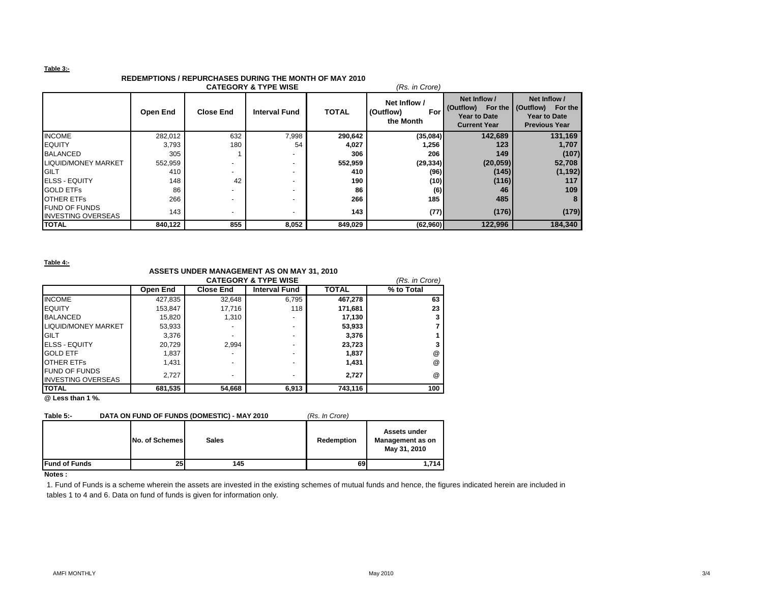#### **Table 3:-**

## **REDEMPTIONS / REPURCHASES DURING THE MONTH OF MAY 2010**

|                                                   | <b>CATEGORY &amp; TYPE WISE</b><br>(Rs. in Crore) |                          |                      |              |                                               |                                                                                 |                                                                           |  |  |  |
|---------------------------------------------------|---------------------------------------------------|--------------------------|----------------------|--------------|-----------------------------------------------|---------------------------------------------------------------------------------|---------------------------------------------------------------------------|--|--|--|
|                                                   | Open End                                          | <b>Close End</b>         | <b>Interval Fund</b> | <b>TOTAL</b> | Net Inflow /<br>(Outflow)<br>For<br>the Month | Net Inflow /<br>(Outflow) For the<br><b>Year to Date</b><br><b>Current Year</b> | Net Inflow /<br>(Outflow) For the<br>Year to Date<br><b>Previous Year</b> |  |  |  |
| <b>INCOME</b>                                     | 282,012                                           | 632                      | 7,998                | 290,642      | (35,084)                                      | 142,689                                                                         | 131,169                                                                   |  |  |  |
| <b>EQUITY</b>                                     | 3,793                                             | 180                      | 54                   | 4,027        | 1,256                                         | 123                                                                             | 1,707                                                                     |  |  |  |
| <b>BALANCED</b>                                   | 305                                               |                          |                      | 306          | 206                                           | 149                                                                             | (107)                                                                     |  |  |  |
| <b>LIQUID/MONEY MARKET</b>                        | 552,959                                           |                          |                      | 552,959      | (29, 334)                                     | (20, 059)                                                                       | 52,708                                                                    |  |  |  |
| <b>IGILT</b>                                      | 410                                               | $\overline{\phantom{0}}$ |                      | 410          | (96)                                          | (145)                                                                           | (1, 192)                                                                  |  |  |  |
| <b>IELSS - EQUITY</b>                             | 148                                               | 42                       |                      | 190          | (10)                                          | (116)                                                                           | 117                                                                       |  |  |  |
| <b>GOLD ETFS</b>                                  | 86                                                | ٠                        |                      | 86           | (6)                                           | 46                                                                              | 109                                                                       |  |  |  |
| <b>OTHER ETFS</b>                                 | 266                                               | -                        |                      | 266          | 185                                           | 485                                                                             |                                                                           |  |  |  |
| <b>FUND OF FUNDS</b><br><b>INVESTING OVERSEAS</b> | 143                                               | $\overline{\phantom{a}}$ |                      | 143          | (77)                                          | (176)                                                                           | (179)                                                                     |  |  |  |
| <b>TOTAL</b>                                      | 840,122                                           | 855                      | 8,052                | 849,029      | (62,960)                                      | 122,996                                                                         | 184,340                                                                   |  |  |  |

**Table 4:-**

### **ASSETS UNDER MANAGEMENT AS ON MAY 31, 2010**

|                           |          |                  | <b>CATEGORY &amp; TYPE WISE</b> |              | (Rs. in Crore)  |
|---------------------------|----------|------------------|---------------------------------|--------------|-----------------|
|                           | Open End | <b>Close End</b> | <b>Interval Fund</b>            | <b>TOTAL</b> | % to Total      |
| <b>INCOME</b>             | 427,835  | 32.648           | 6.795                           | 467,278      | 63              |
| <b>EQUITY</b>             | 153,847  | 17.716           | 118                             | 171,681      | 23              |
| <b>BALANCED</b>           | 15,820   | 1,310            |                                 | 17,130       |                 |
| LIQUID/MONEY MARKET       | 53,933   |                  |                                 | 53,933       |                 |
| <b>GILT</b>               | 3.376    |                  | -                               | 3,376        |                 |
| <b>IELSS - EQUITY</b>     | 20.729   | 2.994            |                                 | 23,723       |                 |
| <b>GOLD ETF</b>           | 1,837    | -                |                                 | 1,837        | @               |
| <b>OTHER ETFS</b>         | 1,431    | ۰                |                                 | 1,431        | $^{\circ}$      |
| <b>FUND OF FUNDS</b>      | 2,727    | ۰                |                                 | 2,727        | $^{\copyright}$ |
| <b>INVESTING OVERSEAS</b> |          |                  |                                 |              |                 |
| <b>TOTAL</b>              | 681,535  | 54,668           | 6,913                           | 743,116      | 100             |

**@ Less than 1 %.**

| Table 5:-             |                | DATA ON FUND OF FUNDS (DOMESTIC) - MAY 2010 | (Rs. In Crore) |                                                  |
|-----------------------|----------------|---------------------------------------------|----------------|--------------------------------------------------|
|                       | No. of Schemes | <b>Sales</b>                                | Redemption     | Assets under<br>Management as on<br>May 31, 2010 |
| <b>IFund of Funds</b> | 25             | 145                                         | 69             | 1.714                                            |

#### **Notes :**

1. Fund of Funds is a scheme wherein the assets are invested in the existing schemes of mutual funds and hence, the figures indicated herein are included in tables 1 to 4 and 6. Data on fund of funds is given for information only.